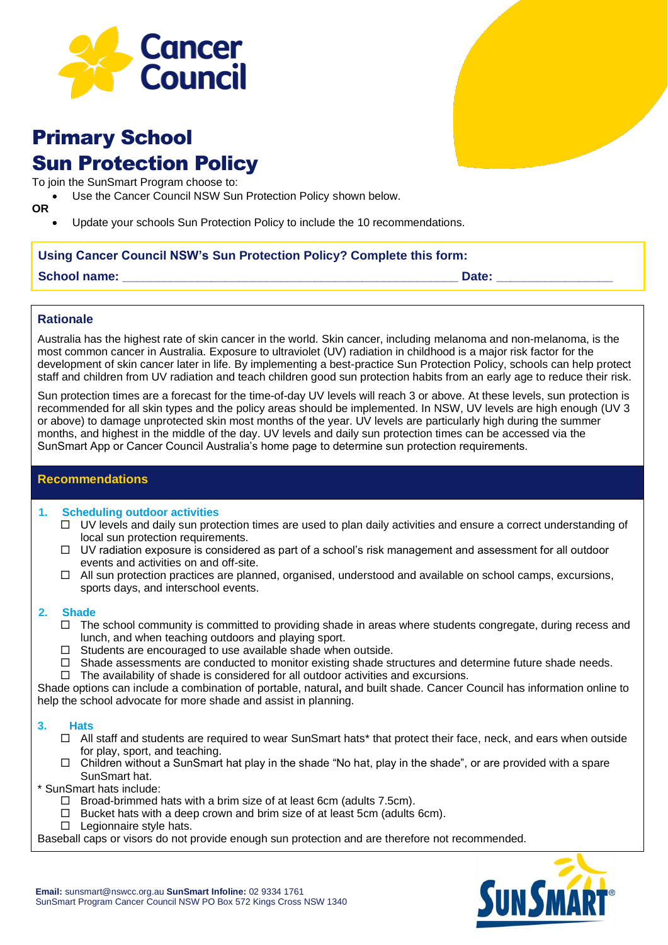

# Primary School Sun Protection Policy

To join the SunSmart Program choose to:

Use the Cancer Council NSW Sun Protection Policy shown below.

**OR**

• Update your schools Sun Protection Policy to include the 10 recommendations.

## **Using Cancer Council NSW's Sun Protection Policy? Complete this form:**

| <b>School name:</b> | Date |
|---------------------|------|
|                     |      |

## **Rationale**

Australia has the highest rate of skin cancer in the world. Skin cancer, including melanoma and non-melanoma, is the most common cancer in Australia. Exposure to ultraviolet (UV) radiation in childhood is a major risk factor for the development of skin cancer later in life. By implementing a best-practice Sun Protection Policy, schools can help protect staff and children from UV radiation and teach children good sun protection habits from an early age to reduce their risk.

Sun protection times are a forecast for the time-of-day UV levels will reach 3 or above. At these levels, sun protection is recommended for all skin types and the policy areas should be implemented. In NSW, UV levels are high enough (UV 3 or above) to damage unprotected skin most months of the year. UV levels are particularly high during the summer months, and highest in the middle of the day. UV levels and daily sun protection times can be accessed via the SunSmart App or Cancer Council Australia's home page to determine sun protection requirements.

## **Recommendations**

### **1. Scheduling outdoor activities**

- $\Box$  UV levels and daily sun protection times are used to plan daily activities and ensure a correct understanding of local sun protection requirements.
- $\Box$  UV radiation exposure is considered as part of a school's risk management and assessment for all outdoor events and activities on and off-site.
- $\Box$  All sun protection practices are planned, organised, understood and available on school camps, excursions, sports days, and interschool events.

### **2. Shade**

- $\Box$  The school community is committed to providing shade in areas where students congregate, during recess and lunch, and when teaching outdoors and playing sport.
- $\Box$  Students are encouraged to use available shade when outside.
- $\Box$  Shade assessments are conducted to monitor existing shade structures and determine future shade needs.
- $\Box$  The availability of shade is considered for all outdoor activities and excursions.

Shade options can include a combination of portable, natural**,** and built shade. Cancer Council has information online to help the school advocate for more shade and assist in planning.

### **3. Hats**

- □ All staff and students are required to wear SunSmart hats\* that protect their face, neck, and ears when outside for play, sport, and teaching.
- $\Box$  Children without a SunSmart hat play in the shade "No hat, play in the shade", or are provided with a spare SunSmart hat.

\* SunSmart hats include:

- $\Box$  Broad-brimmed hats with a brim size of at least 6cm (adults 7.5cm).
- $\Box$  Bucket hats with a deep crown and brim size of at least 5cm (adults 6cm).
- $\Box$  Legionnaire style hats.

Baseball caps or visors do not provide enough sun protection and are therefore not recommended.